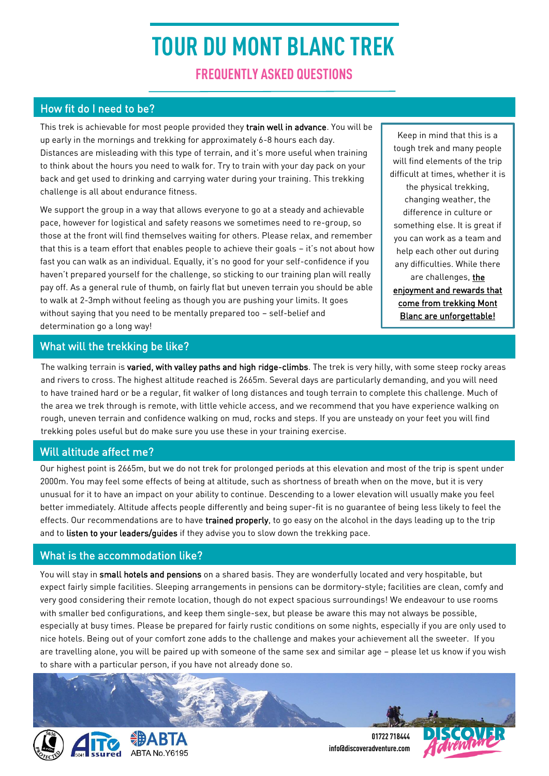# **TOUR DU MONT BLANC TREK**

**FREQUENTLY ASKED QUESTIONS**

# How fit do I need to be?

This trek is achievable for most people provided they train well in advance. You will be up early in the mornings and trekking for approximately 6-8 hours each day. Distances are misleading with this type of terrain, and it's more useful when training to think about the hours you need to walk for. Try to train with your day pack on your back and get used to drinking and carrying water during your training. This trekking challenge is all about endurance fitness.

We support the group in a way that allows everyone to go at a steady and achievable pace, however for logistical and safety reasons we sometimes need to re-group, so those at the front will find themselves waiting for others. Please relax, and remember that this is a team effort that enables people to achieve their goals – it's not about how fast you can walk as an individual. Equally, it's no good for your self-confidence if you haven't prepared yourself for the challenge, so sticking to our training plan will really pay off. As a general rule of thumb, on fairly flat but uneven terrain you should be able to walk at 2-3mph without feeling as though you are pushing your limits. It goes without saying that you need to be mentally prepared too – self-belief and determination go a long way!

Keep in mind that this is a tough trek and many people will find elements of the trip difficult at times, whether it is the physical trekking,

changing weather, the difference in culture or something else. It is great if you can work as a team and help each other out during any difficulties. While there are challenges, the enjoyment and rewards that come from trekking Mont Blanc are unforgettable!

# What will the trekking be like?

The walking terrain is varied, with valley paths and high ridge-climbs. The trek is very hilly, with some steep rocky areas and rivers to cross. The highest altitude reached is 2665m. Several days are particularly demanding, and you will need to have trained hard or be a regular, fit walker of long distances and tough terrain to complete this challenge. Much of the area we trek through is remote, with little vehicle access, and we recommend that you have experience walking on rough, uneven terrain and confidence walking on mud, rocks and steps. If you are unsteady on your feet you will find trekking poles useful but do make sure you use these in your training exercise.

# Will altitude affect me?

Our highest point is 2665m, but we do not trek for prolonged periods at this elevation and most of the trip is spent under 2000m. You may feel some effects of being at altitude, such as shortness of breath when on the move, but it is very unusual for it to have an impact on your ability to continue. Descending to a lower elevation will usually make you feel better immediately. Altitude affects people differently and being super-fit is no guarantee of being less likely to feel the effects. Our recommendations are to have trained properly, to go easy on the alcohol in the days leading up to the trip and to listen to your leaders/quides if they advise you to slow down the trekking pace.

# What is the accommodation like?

You will stay in small hotels and pensions on a shared basis. They are wonderfully located and very hospitable, but expect fairly simple facilities. Sleeping arrangements in pensions can be dormitory-style; facilities are clean, comfy and very good considering their remote location, though do not expect spacious surroundings! We endeavour to use rooms with smaller bed configurations, and keep them single-sex, but please be aware this may not always be possible, especially at busy times. Please be prepared for fairly rustic conditions on some nights, especially if you are only used to nice hotels. Being out of your comfort zone adds to the challenge and makes your achievement all the sweeter. If you are travelling alone, you will be paired up with someone of the same sex and similar age – please let us know if you wish to share with a particular person, if you have not already done so.



**01722 718444 info@discoveradventure.com**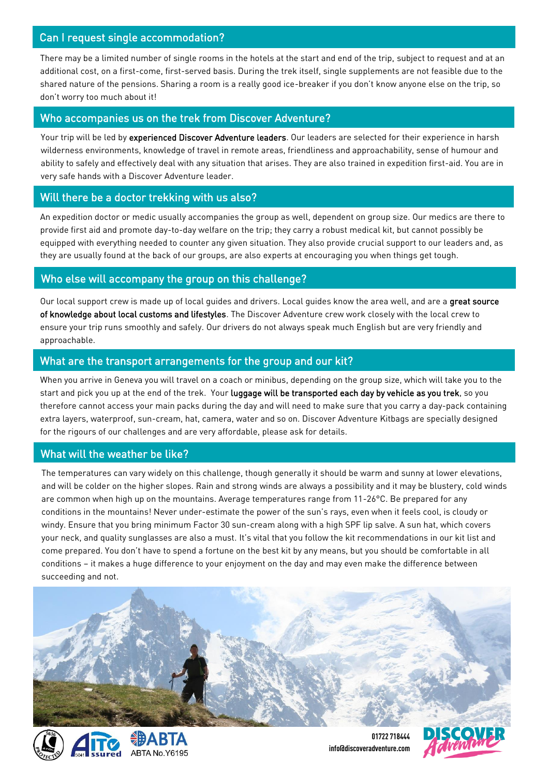#### Can I request single accommodation?

There may be a limited number of single rooms in the hotels at the start and end of the trip, subject to request and at an additional cost, on a first-come, first-served basis. During the trek itself, single supplements are not feasible due to the shared nature of the pensions. Sharing a room is a really good ice-breaker if you don't know anyone else on the trip, so don't worry too much about it!

#### Who accompanies us on the trek from Discover Adventure?

Your trip will be led by experienced Discover Adventure leaders. Our leaders are selected for their experience in harsh wilderness environments, knowledge of travel in remote areas, friendliness and approachability, sense of humour and ability to safely and effectively deal with any situation that arises. They are also trained in expedition first-aid. You are in very safe hands with a Discover Adventure leader.

## Will there be a doctor trekking with us also?

An expedition doctor or medic usually accompanies the group as well, dependent on group size. Our medics are there to provide first aid and promote day-to-day welfare on the trip; they carry a robust medical kit, but cannot possibly be equipped with everything needed to counter any given situation. They also provide crucial support to our leaders and, as they are usually found at the back of our groups, are also experts at encouraging you when things get tough.

#### Who else will accompany the group on this challenge?

Our local support crew is made up of local quides and drivers. Local quides know the area well, and are a great source of knowledge about local customs and lifestyles. The Discover Adventure crew work closely with the local crew to ensure your trip runs smoothly and safely. Our drivers do not always speak much English but are very friendly and approachable.

#### What are the transport arrangements for the group and our kit?

When you arrive in Geneva you will travel on a coach or minibus, depending on the group size, which will take you to the start and pick you up at the end of the trek. Your luggage will be transported each day by vehicle as you trek, so you therefore cannot access your main packs during the day and will need to make sure that you carry a day-pack containing extra layers, waterproof, sun-cream, hat, camera, water and so on. Discover Adventure Kitbags are specially designed for the rigours of our challenges and are very affordable, please ask for details.

#### What will the weather be like?

The temperatures can vary widely on this challenge, though generally it should be warm and sunny at lower elevations, and will be colder on the higher slopes. Rain and strong winds are always a possibility and it may be blustery, cold winds are common when high up on the mountains. Average temperatures range from 11-26°C. Be prepared for any conditions in the mountains! Never under-estimate the power of the sun's rays, even when it feels cool, is cloudy or windy. Ensure that you bring minimum Factor 30 sun-cream along with a high SPF lip salve. A sun hat, which covers your neck, and quality sunglasses are also a must. It's vital that you follow the kit recommendations in our kit list and come prepared. You don't have to spend a fortune on the best kit by any means, but you should be comfortable in all conditions – it makes a huge difference to your enjoyment on the day and may even make the difference between succeeding and not.





**info@discoveradventure.com**

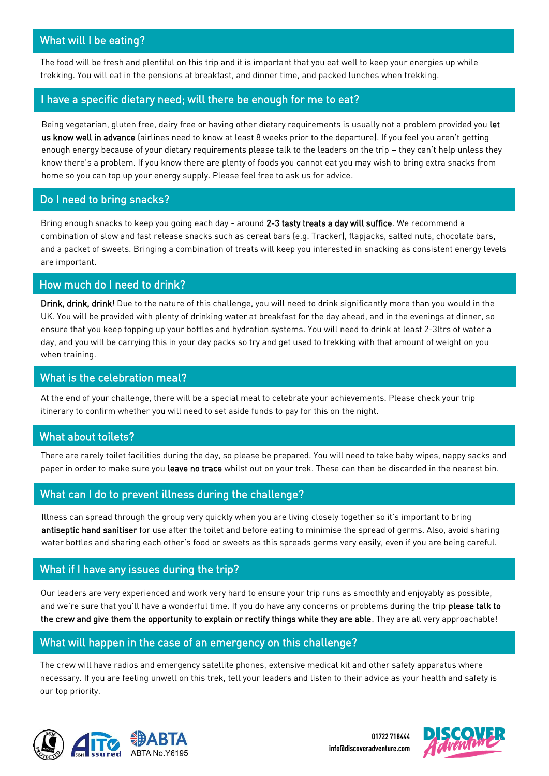# What will I be eating?

The food will be fresh and plentiful on this trip and it is important that you eat well to keep your energies up while trekking. You will eat in the pensions at breakfast, and dinner time, and packed lunches when trekking.

## I have a specific dietary need; will there be enough for me to eat?

Being vegetarian, gluten free, dairy free or having other dietary requirements is usually not a problem provided you let us know well in advance (airlines need to know at least 8 weeks prior to the departure). If you feel you aren't getting enough energy because of your dietary requirements please talk to the leaders on the trip – they can't help unless they know there's a problem. If you know there are plenty of foods you cannot eat you may wish to bring extra snacks from home so you can top up your energy supply. Please feel free to ask us for advice.

#### Do I need to bring snacks?

Bring enough snacks to keep you going each day - around 2-3 tasty treats a day will suffice. We recommend a combination of slow and fast release snacks such as cereal bars (e.g. Tracker), flapjacks, salted nuts, chocolate bars, and a packet of sweets. Bringing a combination of treats will keep you interested in snacking as consistent energy levels are important.

## How much do I need to drink?

Drink, drink, drink! Due to the nature of this challenge, you will need to drink significantly more than you would in the UK. You will be provided with plenty of drinking water at breakfast for the day ahead, and in the evenings at dinner, so ensure that you keep topping up your bottles and hydration systems. You will need to drink at least 2-3ltrs of water a day, and you will be carrying this in your day packs so try and get used to trekking with that amount of weight on you when training.

#### What is the celebration meal?

At the end of your challenge, there will be a special meal to celebrate your achievements. Please check your trip itinerary to confirm whether you will need to set aside funds to pay for this on the night.

# What about toilets?

There are rarely toilet facilities during the day, so please be prepared. You will need to take baby wipes, nappy sacks and paper in order to make sure you leave no trace whilst out on your trek. These can then be discarded in the nearest bin.

#### What can I do to prevent illness during the challenge?

Illness can spread through the group very quickly when you are living closely together so it's important to bring antiseptic hand sanitiser for use after the toilet and before eating to minimise the spread of germs. Also, avoid sharing water bottles and sharing each other's food or sweets as this spreads germs very easily, even if you are being careful.

#### What if I have any issues during the trip?

Our leaders are very experienced and work very hard to ensure your trip runs as smoothly and enjoyably as possible, and we're sure that you'll have a wonderful time. If you do have any concerns or problems during the trip please talk to the crew and give them the opportunity to explain or rectify things while they are able. They are all very approachable!

#### What will happen in the case of an emergency on this challenge?

The crew will have radios and emergency satellite phones, extensive medical kit and other safety apparatus where necessary. If you are feeling unwell on this trek, tell your leaders and listen to their advice as your health and safety is our top priority.







**info@discoveradventure.com**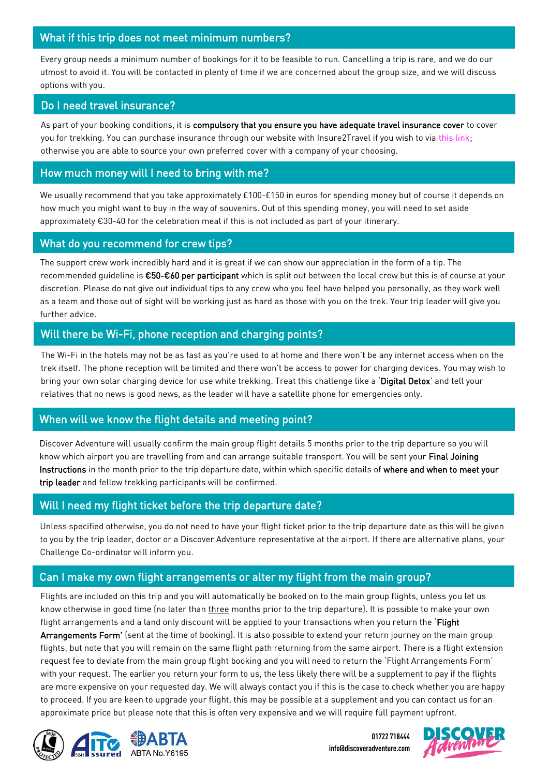## What if this trip does not meet minimum numbers?

Every group needs a minimum number of bookings for it to be feasible to run. Cancelling a trip is rare, and we do our utmost to avoid it. You will be contacted in plenty of time if we are concerned about the group size, and we will discuss options with you.

#### Do I need travel insurance?

As part of your booking conditions, it is compulsory that you ensure you have adequate travel insurance cover to cover you for trekking. You can purchase insurance through our website with Insure2Travel if you wish to via [this link;](http://www.discoveradventure.com/essential-information#/buy-travel-insurance) otherwise you are able to source your own preferred cover with a company of your choosing.

#### How much money will I need to bring with me?

We usually recommend that you take approximately £100-£150 in euros for spending money but of course it depends on how much you might want to buy in the way of souvenirs. Out of this spending money, you will need to set aside approximately €30-40 for the celebration meal if this is not included as part of your itinerary.

#### What do you recommend for crew tips?

The support crew work incredibly hard and it is great if we can show our appreciation in the form of a tip. The recommended quideline is €50-€60 per participant which is split out between the local crew but this is of course at your discretion. Please do not give out individual tips to any crew who you feel have helped you personally, as they work well as a team and those out of sight will be working just as hard as those with you on the trek. Your trip leader will give you further advice.

## Will there be Wi-Fi, phone reception and charging points?

The Wi-Fi in the hotels may not be as fast as you're used to at home and there won't be any internet access when on the trek itself. The phone reception will be limited and there won't be access to power for charging devices. You may wish to bring your own solar charging device for use while trekking. Treat this challenge like a 'Digital Detox' and tell your relatives that no news is good news, as the leader will have a satellite phone for emergencies only.

#### When will we know the flight details and meeting point?

 Discover Adventure will usually confirm the main group flight details 5 months prior to the trip departure so you will know which airport you are travelling from and can arrange suitable transport. You will be sent your Final Joining Instructions in the month prior to the trip departure date, within which specific details of where and when to meet your trip leader and fellow trekking participants will be confirmed.

#### Will I need my flight ticket before the trip departure date?

Unless specified otherwise, you do not need to have your flight ticket prior to the trip departure date as this will be given to you by the trip leader, doctor or a Discover Adventure representative at the airport. If there are alternative plans, your Challenge Co-ordinator will inform you.

# Can I make my own flight arrangements or alter my flight from the main group?

Flights are included on this trip and you will automatically be booked on to the main group flights, unless you let us know otherwise in good time (no later than three months prior to the trip departure). It is possible to make your own flight arrangements and a land only discount will be applied to your transactions when you return the 'Flight

Arrangements Form' (sent at the time of booking). It is also possible to extend your return journey on the main group flights, but note that you will remain on the same flight path returning from the same airport. There is a flight extension request fee to deviate from the main group flight booking and you will need to return the 'Flight Arrangements Form' with your request. The earlier you return your form to us, the less likely there will be a supplement to pay if the flights are more expensive on your requested day. We will always contact you if this is the case to check whether you are happy to proceed. If you are keen to upgrade your flight, this may be possible at a supplement and you can contact us for an approximate price but please note that this is often very expensive and we will require full payment upfront.



**01722 718444 info@discoveradventure.com**